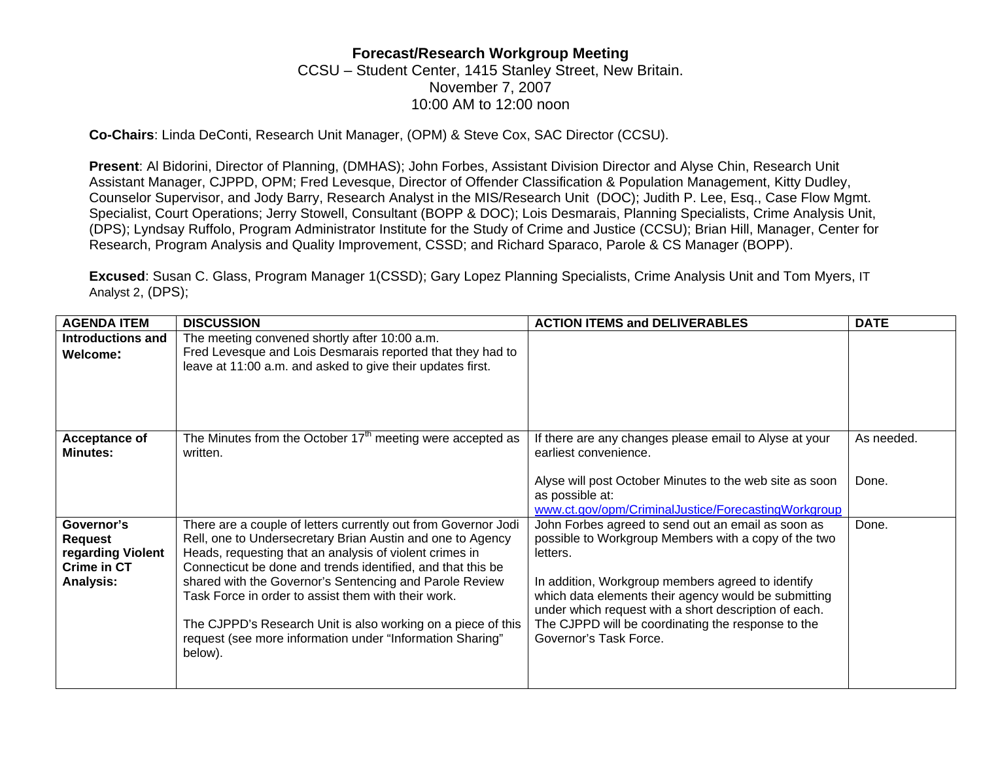## **Forecast/Research Workgroup Meeting**  CCSU – Student Center, 1415 Stanley Street, New Britain. November 7, 2007 10:00 AM to 12:00 noon

**Co-Chairs**: Linda DeConti, Research Unit Manager, (OPM) & Steve Cox, SAC Director (CCSU).

**Present**: Al Bidorini, Director of Planning, (DMHAS); John Forbes, Assistant Division Director and Alyse Chin, Research Unit Assistant Manager, CJPPD, OPM; Fred Levesque, Director of Offender Classification & Population Management, Kitty Dudley, Counselor Supervisor, and Jody Barry, Research Analyst in the MIS/Research Unit (DOC); Judith P. Lee, Esq., Case Flow Mgmt. Specialist, Court Operations; Jerry Stowell, Consultant (BOPP & DOC); Lois Desmarais, Planning Specialists, Crime Analysis Unit, (DPS); Lyndsay Ruffolo, Program Administrator Institute for the Study of Crime and Justice (CCSU); Brian Hill, Manager, Center for Research, Program Analysis and Quality Improvement, CSSD; and Richard Sparaco, Parole & CS Manager (BOPP).

**Excused**: Susan C. Glass, Program Manager 1(CSSD); Gary Lopez Planning Specialists, Crime Analysis Unit and Tom Myers, IT Analyst 2, (DPS);

| <b>AGENDA ITEM</b>                                                                   | <b>DISCUSSION</b>                                                                                                                                                                                                                                                                                                                                                                                                                                                                                                | <b>ACTION ITEMS and DELIVERABLES</b>                                                                                                                                                                                                                                                                                                                                         | <b>DATE</b> |
|--------------------------------------------------------------------------------------|------------------------------------------------------------------------------------------------------------------------------------------------------------------------------------------------------------------------------------------------------------------------------------------------------------------------------------------------------------------------------------------------------------------------------------------------------------------------------------------------------------------|------------------------------------------------------------------------------------------------------------------------------------------------------------------------------------------------------------------------------------------------------------------------------------------------------------------------------------------------------------------------------|-------------|
| <b>Introductions and</b><br>Welcome:                                                 | The meeting convened shortly after 10:00 a.m.<br>Fred Levesque and Lois Desmarais reported that they had to<br>leave at 11:00 a.m. and asked to give their updates first.                                                                                                                                                                                                                                                                                                                                        |                                                                                                                                                                                                                                                                                                                                                                              |             |
| Acceptance of<br><b>Minutes:</b>                                                     | The Minutes from the October $17th$ meeting were accepted as<br>written.                                                                                                                                                                                                                                                                                                                                                                                                                                         | If there are any changes please email to Alyse at your<br>earliest convenience.                                                                                                                                                                                                                                                                                              | As needed.  |
|                                                                                      |                                                                                                                                                                                                                                                                                                                                                                                                                                                                                                                  | Alyse will post October Minutes to the web site as soon<br>as possible at:<br>www.ct.gov/opm/CriminalJustice/ForecastingWorkgroup                                                                                                                                                                                                                                            | Done.       |
| Governor's<br><b>Request</b><br>regarding Violent<br>Crime in CT<br><b>Analysis:</b> | There are a couple of letters currently out from Governor Jodi<br>Rell, one to Undersecretary Brian Austin and one to Agency<br>Heads, requesting that an analysis of violent crimes in<br>Connecticut be done and trends identified, and that this be<br>shared with the Governor's Sentencing and Parole Review<br>Task Force in order to assist them with their work.<br>The CJPPD's Research Unit is also working on a piece of this<br>request (see more information under "Information Sharing"<br>below). | John Forbes agreed to send out an email as soon as<br>possible to Workgroup Members with a copy of the two<br>letters.<br>In addition, Workgroup members agreed to identify<br>which data elements their agency would be submitting<br>under which request with a short description of each.<br>The CJPPD will be coordinating the response to the<br>Governor's Task Force. | Done.       |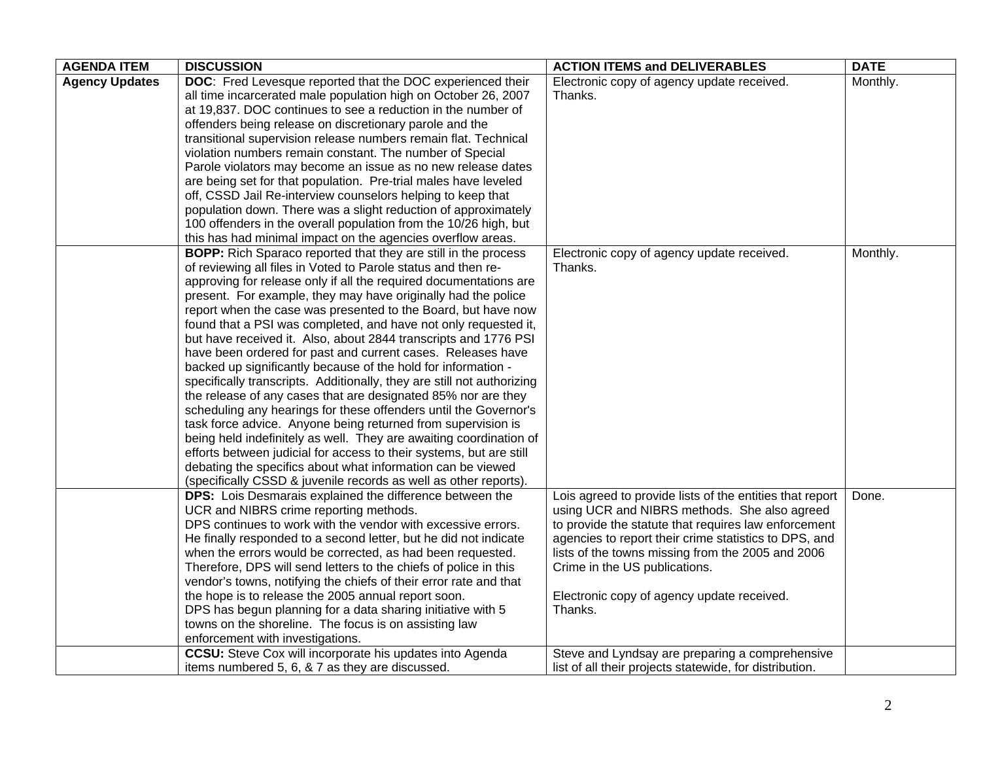| <b>AGENDA ITEM</b>    | <b>DISCUSSION</b>                                                                                                                                                                                                                                                                                                                                                                                                                                                                                                                                                                                                                                                                                                                                                                                                                                                                                                                                                                                                                                                                                                                                                                  | <b>ACTION ITEMS and DELIVERABLES</b>                                                                                                                                                                                                                                                                                                                                                                                        | <b>DATE</b> |
|-----------------------|------------------------------------------------------------------------------------------------------------------------------------------------------------------------------------------------------------------------------------------------------------------------------------------------------------------------------------------------------------------------------------------------------------------------------------------------------------------------------------------------------------------------------------------------------------------------------------------------------------------------------------------------------------------------------------------------------------------------------------------------------------------------------------------------------------------------------------------------------------------------------------------------------------------------------------------------------------------------------------------------------------------------------------------------------------------------------------------------------------------------------------------------------------------------------------|-----------------------------------------------------------------------------------------------------------------------------------------------------------------------------------------------------------------------------------------------------------------------------------------------------------------------------------------------------------------------------------------------------------------------------|-------------|
| <b>Agency Updates</b> | DOC: Fred Levesque reported that the DOC experienced their<br>all time incarcerated male population high on October 26, 2007<br>at 19,837. DOC continues to see a reduction in the number of<br>offenders being release on discretionary parole and the<br>transitional supervision release numbers remain flat. Technical<br>violation numbers remain constant. The number of Special<br>Parole violators may become an issue as no new release dates<br>are being set for that population. Pre-trial males have leveled<br>off, CSSD Jail Re-interview counselors helping to keep that<br>population down. There was a slight reduction of approximately<br>100 offenders in the overall population from the 10/26 high, but<br>this has had minimal impact on the agencies overflow areas.                                                                                                                                                                                                                                                                                                                                                                                      | Electronic copy of agency update received.<br>Thanks.                                                                                                                                                                                                                                                                                                                                                                       | Monthly.    |
|                       | <b>BOPP:</b> Rich Sparaco reported that they are still in the process<br>of reviewing all files in Voted to Parole status and then re-<br>approving for release only if all the required documentations are<br>present. For example, they may have originally had the police<br>report when the case was presented to the Board, but have now<br>found that a PSI was completed, and have not only requested it,<br>but have received it. Also, about 2844 transcripts and 1776 PSI<br>have been ordered for past and current cases. Releases have<br>backed up significantly because of the hold for information -<br>specifically transcripts. Additionally, they are still not authorizing<br>the release of any cases that are designated 85% nor are they<br>scheduling any hearings for these offenders until the Governor's<br>task force advice. Anyone being returned from supervision is<br>being held indefinitely as well. They are awaiting coordination of<br>efforts between judicial for access to their systems, but are still<br>debating the specifics about what information can be viewed<br>(specifically CSSD & juvenile records as well as other reports). | Electronic copy of agency update received.<br>Thanks.                                                                                                                                                                                                                                                                                                                                                                       | Monthly.    |
|                       | DPS: Lois Desmarais explained the difference between the<br>UCR and NIBRS crime reporting methods.<br>DPS continues to work with the vendor with excessive errors.<br>He finally responded to a second letter, but he did not indicate<br>when the errors would be corrected, as had been requested.<br>Therefore, DPS will send letters to the chiefs of police in this<br>vendor's towns, notifying the chiefs of their error rate and that<br>the hope is to release the 2005 annual report soon.<br>DPS has begun planning for a data sharing initiative with 5<br>towns on the shoreline. The focus is on assisting law<br>enforcement with investigations.<br><b>CCSU:</b> Steve Cox will incorporate his updates into Agenda                                                                                                                                                                                                                                                                                                                                                                                                                                                | Lois agreed to provide lists of the entities that report<br>using UCR and NIBRS methods. She also agreed<br>to provide the statute that requires law enforcement<br>agencies to report their crime statistics to DPS, and<br>lists of the towns missing from the 2005 and 2006<br>Crime in the US publications.<br>Electronic copy of agency update received.<br>Thanks.<br>Steve and Lyndsay are preparing a comprehensive | Done.       |
|                       | items numbered 5, 6, & 7 as they are discussed.                                                                                                                                                                                                                                                                                                                                                                                                                                                                                                                                                                                                                                                                                                                                                                                                                                                                                                                                                                                                                                                                                                                                    | list of all their projects statewide, for distribution.                                                                                                                                                                                                                                                                                                                                                                     |             |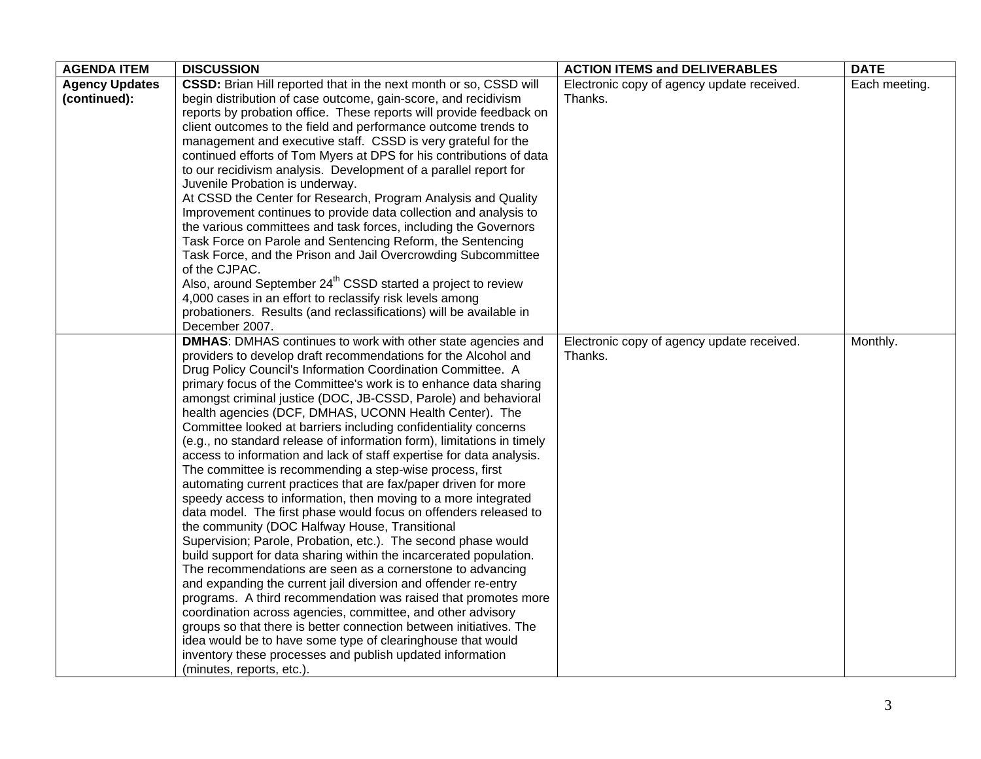| <b>AGENDA ITEM</b>    | <b>DISCUSSION</b>                                                                                                        | <b>ACTION ITEMS and DELIVERABLES</b>       | <b>DATE</b>   |
|-----------------------|--------------------------------------------------------------------------------------------------------------------------|--------------------------------------------|---------------|
| <b>Agency Updates</b> | CSSD: Brian Hill reported that in the next month or so, CSSD will                                                        | Electronic copy of agency update received. | Each meeting. |
| (continued):          | begin distribution of case outcome, gain-score, and recidivism                                                           | Thanks.                                    |               |
|                       | reports by probation office. These reports will provide feedback on                                                      |                                            |               |
|                       | client outcomes to the field and performance outcome trends to                                                           |                                            |               |
|                       | management and executive staff. CSSD is very grateful for the                                                            |                                            |               |
|                       | continued efforts of Tom Myers at DPS for his contributions of data                                                      |                                            |               |
|                       | to our recidivism analysis. Development of a parallel report for                                                         |                                            |               |
|                       | Juvenile Probation is underway.                                                                                          |                                            |               |
|                       | At CSSD the Center for Research, Program Analysis and Quality                                                            |                                            |               |
|                       | Improvement continues to provide data collection and analysis to                                                         |                                            |               |
|                       | the various committees and task forces, including the Governors                                                          |                                            |               |
|                       | Task Force on Parole and Sentencing Reform, the Sentencing                                                               |                                            |               |
|                       | Task Force, and the Prison and Jail Overcrowding Subcommittee                                                            |                                            |               |
|                       | of the CJPAC.                                                                                                            |                                            |               |
|                       | Also, around September 24 <sup>th</sup> CSSD started a project to review                                                 |                                            |               |
|                       | 4,000 cases in an effort to reclassify risk levels among                                                                 |                                            |               |
|                       | probationers. Results (and reclassifications) will be available in                                                       |                                            |               |
|                       | December 2007.                                                                                                           |                                            |               |
|                       | <b>DMHAS:</b> DMHAS continues to work with other state agencies and                                                      | Electronic copy of agency update received. | Monthly.      |
|                       | providers to develop draft recommendations for the Alcohol and                                                           | Thanks.                                    |               |
|                       | Drug Policy Council's Information Coordination Committee. A                                                              |                                            |               |
|                       | primary focus of the Committee's work is to enhance data sharing                                                         |                                            |               |
|                       | amongst criminal justice (DOC, JB-CSSD, Parole) and behavioral                                                           |                                            |               |
|                       | health agencies (DCF, DMHAS, UCONN Health Center). The                                                                   |                                            |               |
|                       | Committee looked at barriers including confidentiality concerns                                                          |                                            |               |
|                       | (e.g., no standard release of information form), limitations in timely                                                   |                                            |               |
|                       | access to information and lack of staff expertise for data analysis.                                                     |                                            |               |
|                       | The committee is recommending a step-wise process, first                                                                 |                                            |               |
|                       | automating current practices that are fax/paper driven for more                                                          |                                            |               |
|                       | speedy access to information, then moving to a more integrated                                                           |                                            |               |
|                       | data model. The first phase would focus on offenders released to                                                         |                                            |               |
|                       | the community (DOC Halfway House, Transitional                                                                           |                                            |               |
|                       | Supervision; Parole, Probation, etc.). The second phase would                                                            |                                            |               |
|                       | build support for data sharing within the incarcerated population.                                                       |                                            |               |
|                       | The recommendations are seen as a cornerstone to advancing                                                               |                                            |               |
|                       | and expanding the current jail diversion and offender re-entry                                                           |                                            |               |
|                       | programs. A third recommendation was raised that promotes more                                                           |                                            |               |
|                       | coordination across agencies, committee, and other advisory                                                              |                                            |               |
|                       | groups so that there is better connection between initiatives. The                                                       |                                            |               |
|                       | idea would be to have some type of clearinghouse that would<br>inventory these processes and publish updated information |                                            |               |
|                       |                                                                                                                          |                                            |               |
|                       | (minutes, reports, etc.).                                                                                                |                                            |               |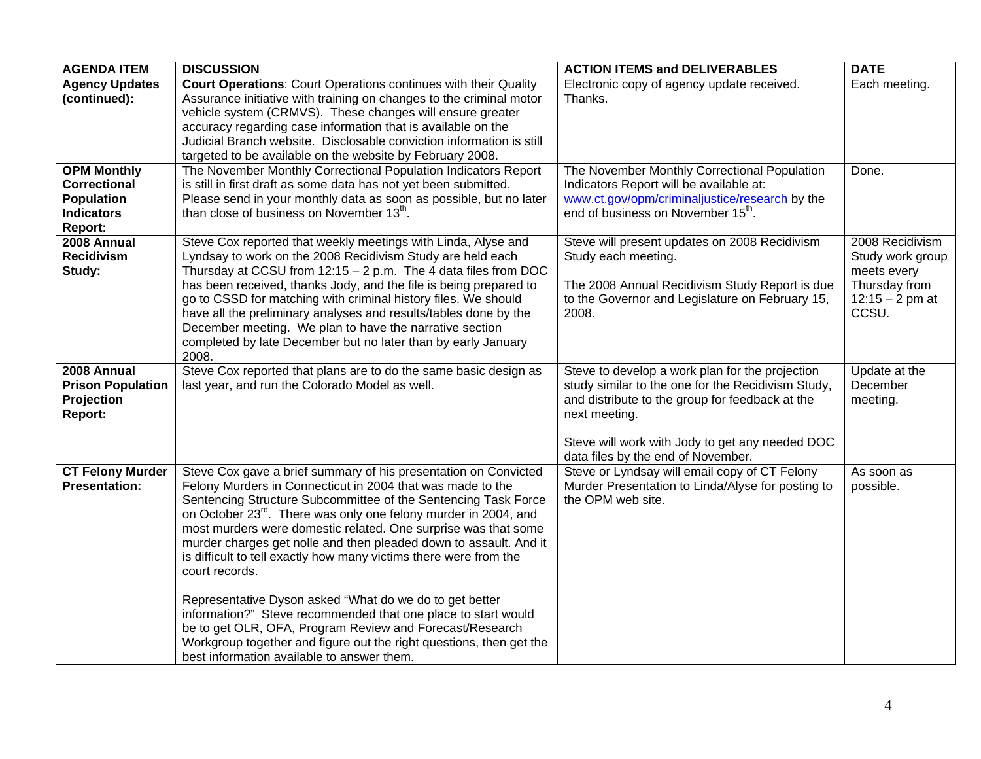| <b>AGENDA ITEM</b>                                                                      | <b>DISCUSSION</b>                                                                                                                                                                                                                                                                                                                                                                                                                                                                                                                                                                                                                                                                                                                                                                                                         | <b>ACTION ITEMS and DELIVERABLES</b>                                                                                                                                                                                                                               | <b>DATE</b>                                                                                       |
|-----------------------------------------------------------------------------------------|---------------------------------------------------------------------------------------------------------------------------------------------------------------------------------------------------------------------------------------------------------------------------------------------------------------------------------------------------------------------------------------------------------------------------------------------------------------------------------------------------------------------------------------------------------------------------------------------------------------------------------------------------------------------------------------------------------------------------------------------------------------------------------------------------------------------------|--------------------------------------------------------------------------------------------------------------------------------------------------------------------------------------------------------------------------------------------------------------------|---------------------------------------------------------------------------------------------------|
| <b>Agency Updates</b><br>(continued):                                                   | <b>Court Operations: Court Operations continues with their Quality</b><br>Assurance initiative with training on changes to the criminal motor<br>vehicle system (CRMVS). These changes will ensure greater<br>accuracy regarding case information that is available on the<br>Judicial Branch website. Disclosable conviction information is still<br>targeted to be available on the website by February 2008.                                                                                                                                                                                                                                                                                                                                                                                                           | Electronic copy of agency update received.<br>Thanks.                                                                                                                                                                                                              | Each meeting.                                                                                     |
| <b>OPM Monthly</b><br>Correctional<br><b>Population</b><br><b>Indicators</b><br>Report: | The November Monthly Correctional Population Indicators Report<br>is still in first draft as some data has not yet been submitted.<br>Please send in your monthly data as soon as possible, but no later<br>than close of business on November 13th.                                                                                                                                                                                                                                                                                                                                                                                                                                                                                                                                                                      | The November Monthly Correctional Population<br>Indicators Report will be available at:<br>www.ct.gov/opm/criminaljustice/research by the<br>end of business on November 15 <sup>th</sup> .                                                                        | Done.                                                                                             |
| 2008 Annual<br><b>Recidivism</b><br>Study:                                              | Steve Cox reported that weekly meetings with Linda, Alyse and<br>Lyndsay to work on the 2008 Recidivism Study are held each<br>Thursday at CCSU from 12:15 - 2 p.m. The 4 data files from DOC<br>has been received, thanks Jody, and the file is being prepared to<br>go to CSSD for matching with criminal history files. We should<br>have all the preliminary analyses and results/tables done by the<br>December meeting. We plan to have the narrative section<br>completed by late December but no later than by early January<br>2008.                                                                                                                                                                                                                                                                             | Steve will present updates on 2008 Recidivism<br>Study each meeting.<br>The 2008 Annual Recidivism Study Report is due<br>to the Governor and Legislature on February 15,<br>2008.                                                                                 | 2008 Recidivism<br>Study work group<br>meets every<br>Thursday from<br>$12:15 - 2$ pm at<br>CCSU. |
| 2008 Annual<br><b>Prison Population</b><br>Projection<br>Report:                        | Steve Cox reported that plans are to do the same basic design as<br>last year, and run the Colorado Model as well.                                                                                                                                                                                                                                                                                                                                                                                                                                                                                                                                                                                                                                                                                                        | Steve to develop a work plan for the projection<br>study similar to the one for the Recidivism Study,<br>and distribute to the group for feedback at the<br>next meeting.<br>Steve will work with Jody to get any needed DOC<br>data files by the end of November. | Update at the<br>December<br>meeting.                                                             |
| <b>CT Felony Murder</b><br><b>Presentation:</b>                                         | Steve Cox gave a brief summary of his presentation on Convicted<br>Felony Murders in Connecticut in 2004 that was made to the<br>Sentencing Structure Subcommittee of the Sentencing Task Force<br>on October 23 <sup>rd</sup> . There was only one felony murder in 2004, and<br>most murders were domestic related. One surprise was that some<br>murder charges get nolle and then pleaded down to assault. And it<br>is difficult to tell exactly how many victims there were from the<br>court records.<br>Representative Dyson asked "What do we do to get better<br>information?" Steve recommended that one place to start would<br>be to get OLR, OFA, Program Review and Forecast/Research<br>Workgroup together and figure out the right questions, then get the<br>best information available to answer them. | Steve or Lyndsay will email copy of CT Felony<br>Murder Presentation to Linda/Alyse for posting to<br>the OPM web site.                                                                                                                                            | As soon as<br>possible.                                                                           |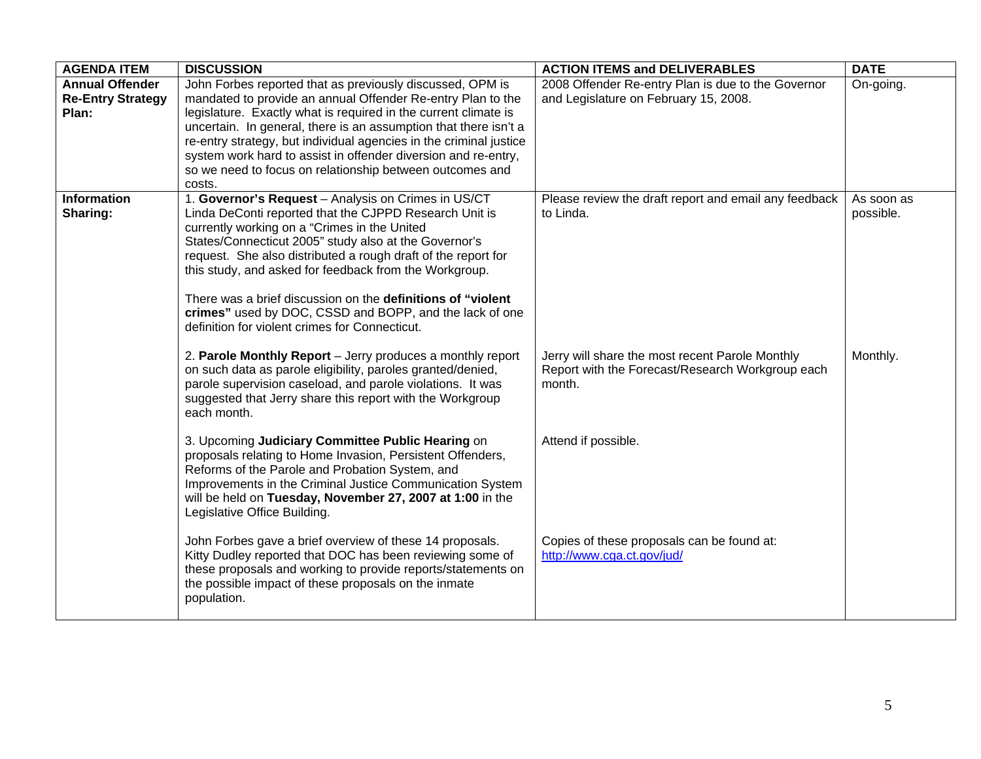| <b>AGENDA ITEM</b>       | <b>DISCUSSION</b>                                                                                                                                                                                                                                                                            | <b>ACTION ITEMS and DELIVERABLES</b>                                                                          | <b>DATE</b> |
|--------------------------|----------------------------------------------------------------------------------------------------------------------------------------------------------------------------------------------------------------------------------------------------------------------------------------------|---------------------------------------------------------------------------------------------------------------|-------------|
| <b>Annual Offender</b>   | John Forbes reported that as previously discussed, OPM is                                                                                                                                                                                                                                    | 2008 Offender Re-entry Plan is due to the Governor                                                            | On-going.   |
| <b>Re-Entry Strategy</b> | mandated to provide an annual Offender Re-entry Plan to the                                                                                                                                                                                                                                  | and Legislature on February 15, 2008.                                                                         |             |
| Plan:                    | legislature. Exactly what is required in the current climate is                                                                                                                                                                                                                              |                                                                                                               |             |
|                          | uncertain. In general, there is an assumption that there isn't a                                                                                                                                                                                                                             |                                                                                                               |             |
|                          | re-entry strategy, but individual agencies in the criminal justice                                                                                                                                                                                                                           |                                                                                                               |             |
|                          | system work hard to assist in offender diversion and re-entry,                                                                                                                                                                                                                               |                                                                                                               |             |
|                          | so we need to focus on relationship between outcomes and                                                                                                                                                                                                                                     |                                                                                                               |             |
|                          | costs.                                                                                                                                                                                                                                                                                       |                                                                                                               |             |
| <b>Information</b>       | 1. Governor's Request - Analysis on Crimes in US/CT                                                                                                                                                                                                                                          | Please review the draft report and email any feedback                                                         | As soon as  |
| Sharing:                 | Linda DeConti reported that the CJPPD Research Unit is                                                                                                                                                                                                                                       | to Linda.                                                                                                     | possible.   |
|                          | currently working on a "Crimes in the United                                                                                                                                                                                                                                                 |                                                                                                               |             |
|                          | States/Connecticut 2005" study also at the Governor's                                                                                                                                                                                                                                        |                                                                                                               |             |
|                          | request. She also distributed a rough draft of the report for                                                                                                                                                                                                                                |                                                                                                               |             |
|                          | this study, and asked for feedback from the Workgroup.                                                                                                                                                                                                                                       |                                                                                                               |             |
|                          |                                                                                                                                                                                                                                                                                              |                                                                                                               |             |
|                          | There was a brief discussion on the definitions of "violent"                                                                                                                                                                                                                                 |                                                                                                               |             |
|                          | crimes" used by DOC, CSSD and BOPP, and the lack of one                                                                                                                                                                                                                                      |                                                                                                               |             |
|                          | definition for violent crimes for Connecticut.                                                                                                                                                                                                                                               |                                                                                                               |             |
|                          | 2. Parole Monthly Report - Jerry produces a monthly report<br>on such data as parole eligibility, paroles granted/denied,<br>parole supervision caseload, and parole violations. It was<br>suggested that Jerry share this report with the Workgroup                                         | Jerry will share the most recent Parole Monthly<br>Report with the Forecast/Research Workgroup each<br>month. | Monthly.    |
|                          | each month.                                                                                                                                                                                                                                                                                  |                                                                                                               |             |
|                          | 3. Upcoming Judiciary Committee Public Hearing on<br>proposals relating to Home Invasion, Persistent Offenders,<br>Reforms of the Parole and Probation System, and<br>Improvements in the Criminal Justice Communication System<br>will be held on Tuesday, November 27, 2007 at 1:00 in the | Attend if possible.                                                                                           |             |
|                          | Legislative Office Building.                                                                                                                                                                                                                                                                 |                                                                                                               |             |
|                          | John Forbes gave a brief overview of these 14 proposals.<br>Kitty Dudley reported that DOC has been reviewing some of<br>these proposals and working to provide reports/statements on<br>the possible impact of these proposals on the inmate<br>population.                                 | Copies of these proposals can be found at:<br>http://www.cga.ct.gov/jud/                                      |             |
|                          |                                                                                                                                                                                                                                                                                              |                                                                                                               |             |